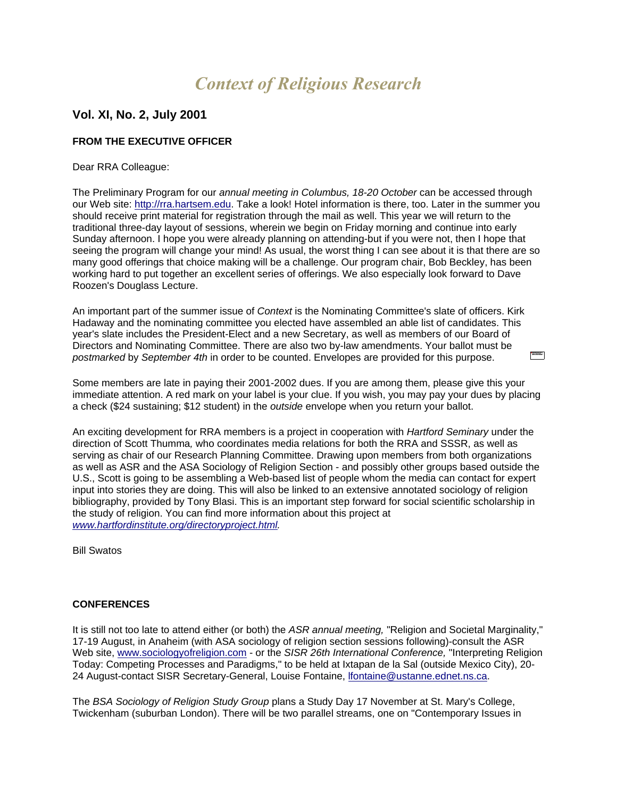# *Context of Religious Research*

## **Vol. XI, No. 2, July 2001**

## **FROM THE EXECUTIVE OFFICER**

#### Dear RRA Colleague:

The Preliminary Program for our *annual meeting in Columbus, 18-20 October* can be accessed through our Web site: [http://rra.hartsem.edu.](http://rra.hartsem.edu/Default.htm) Take a look! Hotel information is there, too. Later in the summer you should receive print material for registration through the mail as well. This year we will return to the traditional three-day layout of sessions, wherein we begin on Friday morning and continue into early Sunday afternoon. I hope you were already planning on attending-but if you were not, then I hope that seeing the program will change your mind! As usual, the worst thing I can see about it is that there are so many good offerings that choice making will be a challenge. Our program chair, Bob Beckley, has been working hard to put together an excellent series of offerings. We also especially look forward to Dave Roozen's Douglass Lecture.

An important part of the summer issue of *Context* is the Nominating Committee's slate of officers. Kirk Hadaway and the nominating committee you elected have assembled an able list of candidates. This year's slate includes the President-Elect and a new Secretary, as well as members of our Board of Directors and Nominating Committee. There are also two by-law amendments. Your ballot must be *postmarked* by *September 4th* in order to be counted. Envelopes are provided for this purpose.

Some members are late in paying their 2001-2002 dues. If you are among them, please give this your immediate attention. A red mark on your label is your clue. If you wish, you may pay your dues by placing a check (\$24 sustaining; \$12 student) in the *outside* envelope when you return your ballot.

An exciting development for RRA members is a project in cooperation with *Hartford Seminary* under the direction of Scott Thumma*,* who coordinates media relations for both the RRA and SSSR, as well as serving as chair of our Research Planning Committee. Drawing upon members from both organizations as well as ASR and the ASA Sociology of Religion Section - and possibly other groups based outside the U.S., Scott is going to be assembling a Web-based list of people whom the media can contact for expert input into stories they are doing. This will also be linked to an extensive annotated sociology of religion bibliography, provided by Tony Blasi. This is an important step forward for social scientific scholarship in the study of religion. You can find more information about this project at *[www.hartfordinstitute.org/directoryproject.html.](http://www.hartfordinstitute.org/directoryproject.html)*

Bill Swatos

## **CONFERENCES**

It is still not too late to attend either (or both) the *ASR annual meeting,* "Religion and Societal Marginality," 17-19 August, in Anaheim (with ASA sociology of religion section sessions following)-consult the ASR Web site, [www.sociologyofreligion.com](http://www.sociologyofreligion.com/) - or the *SISR 26th International Conference,* "Interpreting Religion Today: Competing Processes and Paradigms," to be held at Ixtapan de la Sal (outside Mexico City), 20- 24 August-contact SISR Secretary-General, Louise Fontaine, [lfontaine@ustanne.ednet.ns.ca.](mailto:lfontaine@ustanne.ednet.ns.ca)

The *BSA Sociology of Religion Study Group* plans a Study Day 17 November at St. Mary's College, Twickenham (suburban London). There will be two parallel streams, one on "Contemporary Issues in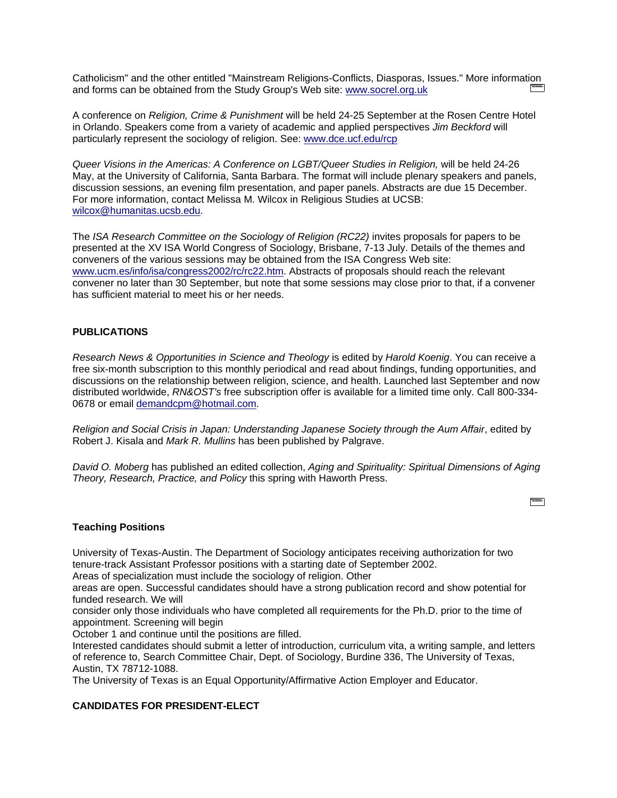Catholicism" and the other entitled "Mainstream Religions-Conflicts, Diasporas, Issues." More information and forms can be obtained from the Study Group's Web site: [www.socrel.org.uk](http://www.socrel.org.uk/)

A conference on *Religion, Crime & Punishment* will be held 24-25 September at the Rosen Centre Hotel in Orlando. Speakers come from a variety of academic and applied perspectives *Jim Beckford* will particularly represent the sociology of religion. See: [www.dce.ucf.edu/rcp](http://www.dce.ucf.edu/rcp)

*Queer Visions in the Americas: A Conference on LGBT/Queer Studies in Religion,* will be held 24-26 May, at the University of California, Santa Barbara. The format will include plenary speakers and panels, discussion sessions, an evening film presentation, and paper panels. Abstracts are due 15 December. For more information, contact Melissa M. Wilcox in Religious Studies at UCSB: [wilcox@humanitas.ucsb.edu.](mailto:wilcox@humanitas.ucsb.edu)

The *ISA Research Committee on the Sociology of Religion (RC22)* invites proposals for papers to be presented at the XV ISA World Congress of Sociology, Brisbane, 7-13 July. Details of the themes and conveners of the various sessions may be obtained from the ISA Congress Web site: [www.ucm.es/info/isa/congress2002/rc/rc22.htm.](http://www.ucm.es/info/isa/congress2002/rc/rc22.htm) Abstracts of proposals should reach the relevant convener no later than 30 September, but note that some sessions may close prior to that, if a convener has sufficient material to meet his or her needs.

## **PUBLICATIONS**

*Research News & Opportunities in Science and Theology* is edited by *Harold Koenig*. You can receive a free six-month subscription to this monthly periodical and read about findings, funding opportunities, and discussions on the relationship between religion, science, and health. Launched last September and now distributed worldwide, *RN&OST's* free subscription offer is available for a limited time only. Call 800-334- 0678 or email [demandcpm@hotmail.com.](mailto:demandcpm@hotmail.com)

*Religion and Social Crisis in Japan: Understanding Japanese Society through the Aum Affair*, edited by Robert J. Kisala and *Mark R. Mullins* has been published by Palgrave.

*David O. Moberg* has published an edited collection, *Aging and Spirituality: Spiritual Dimensions of Aging Theory, Research, Practice, and Policy* this spring with Haworth Press.

**Service** 

#### **Teaching Positions**

University of Texas-Austin. The Department of Sociology anticipates receiving authorization for two tenure-track Assistant Professor positions with a starting date of September 2002.

Areas of specialization must include the sociology of religion. Other

areas are open. Successful candidates should have a strong publication record and show potential for funded research. We will

consider only those individuals who have completed all requirements for the Ph.D. prior to the time of appointment. Screening will begin

October 1 and continue until the positions are filled.

Interested candidates should submit a letter of introduction, curriculum vita, a writing sample, and letters of reference to, Search Committee Chair, Dept. of Sociology, Burdine 336, The University of Texas, Austin, TX 78712-1088.

The University of Texas is an Equal Opportunity/Affirmative Action Employer and Educator.

## **CANDIDATES FOR PRESIDENT-ELECT**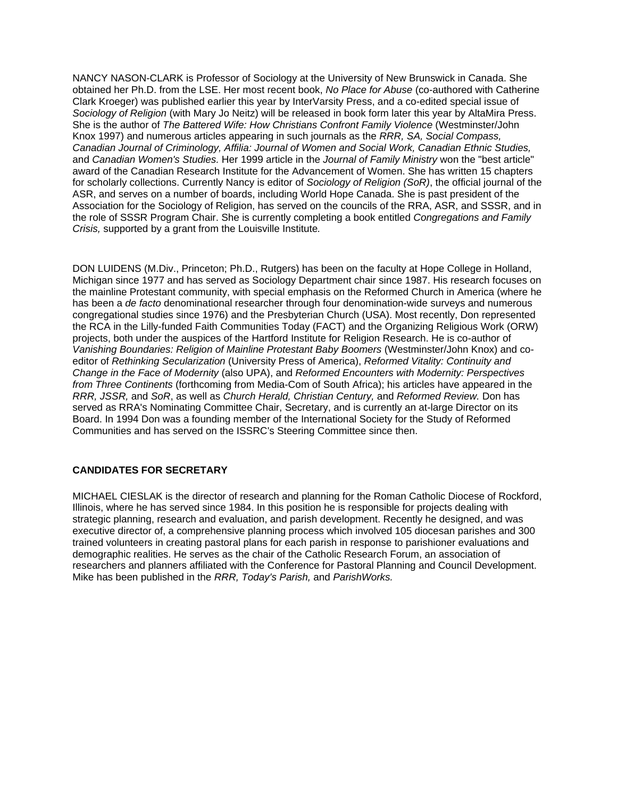NANCY NASON-CLARK is Professor of Sociology at the University of New Brunswick in Canada. She obtained her Ph.D. from the LSE. Her most recent book, *No Place for Abuse* (co-authored with Catherine Clark Kroeger) was published earlier this year by InterVarsity Press, and a co-edited special issue of *Sociology of Religion* (with Mary Jo Neitz) will be released in book form later this year by AltaMira Press. She is the author of *The Battered Wife: How Christians Confront Family Violence* (Westminster/John Knox 1997) and numerous articles appearing in such journals as the *RRR, SA, Social Compass, Canadian Journal of Criminology, Affilia: Journal of Women and Social Work, Canadian Ethnic Studies,* and *Canadian Women's Studies.* Her 1999 article in the *Journal of Family Ministry* won the "best article" award of the Canadian Research Institute for the Advancement of Women. She has written 15 chapters for scholarly collections. Currently Nancy is editor of *Sociology of Religion (SoR)*, the official journal of the ASR, and serves on a number of boards, including World Hope Canada. She is past president of the Association for the Sociology of Religion, has served on the councils of the RRA, ASR, and SSSR, and in the role of SSSR Program Chair. She is currently completing a book entitled *Congregations and Family Crisis,* supported by a grant from the Louisville Institute*.*

DON LUIDENS (M.Div., Princeton; Ph.D., Rutgers) has been on the faculty at Hope College in Holland, Michigan since 1977 and has served as Sociology Department chair since 1987. His research focuses on the mainline Protestant community, with special emphasis on the Reformed Church in America (where he has been a *de facto* denominational researcher through four denomination-wide surveys and numerous congregational studies since 1976) and the Presbyterian Church (USA). Most recently, Don represented the RCA in the Lilly-funded Faith Communities Today (FACT) and the Organizing Religious Work (ORW) projects, both under the auspices of the Hartford Institute for Religion Research. He is co-author of *Vanishing Boundaries: Religion of Mainline Protestant Baby Boomers* (Westminster/John Knox) and coeditor of *Rethinking Secularization* (University Press of America), *Reformed Vitality: Continuity and Change in the Face of Modernity* (also UPA), and *Reformed Encounters with Modernity: Perspectives from Three Continents* (forthcoming from Media-Com of South Africa); his articles have appeared in the *RRR, JSSR,* and *SoR*, as well as *Church Herald, Christian Century,* and *Reformed Review.* Don has served as RRA's Nominating Committee Chair, Secretary, and is currently an at-large Director on its Board. In 1994 Don was a founding member of the International Society for the Study of Reformed Communities and has served on the ISSRC's Steering Committee since then.

## **CANDIDATES FOR SECRETARY**

MICHAEL CIESLAK is the director of research and planning for the Roman Catholic Diocese of Rockford, Illinois, where he has served since 1984. In this position he is responsible for projects dealing with strategic planning, research and evaluation, and parish development. Recently he designed, and was executive director of, a comprehensive planning process which involved 105 diocesan parishes and 300 trained volunteers in creating pastoral plans for each parish in response to parishioner evaluations and demographic realities. He serves as the chair of the Catholic Research Forum, an association of researchers and planners affiliated with the Conference for Pastoral Planning and Council Development. Mike has been published in the *RRR, Today's Parish,* and *ParishWorks.*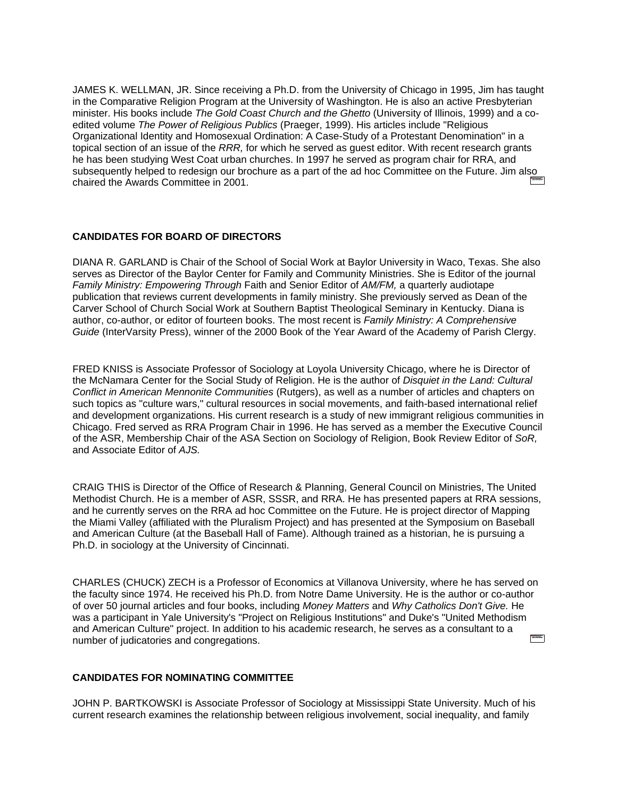JAMES K. WELLMAN, JR. Since receiving a Ph.D. from the University of Chicago in 1995, Jim has taught in the Comparative Religion Program at the University of Washington. He is also an active Presbyterian minister. His books include *The Gold Coast Church and the Ghetto* (University of Illinois, 1999) and a coedited volume *The Power of Religious Publics* (Praeger, 1999). His articles include "Religious Organizational Identity and Homosexual Ordination: A Case-Study of a Protestant Denomination" in a topical section of an issue of the *RRR,* for which he served as guest editor. With recent research grants he has been studying West Coat urban churches. In 1997 he served as program chair for RRA, and subsequently helped to redesign our brochure as a part of the ad hoc Committee on the Future. Jim also chaired the Awards Committee in 2001.

### **CANDIDATES FOR BOARD OF DIRECTORS**

DIANA R. GARLAND is Chair of the School of Social Work at Baylor University in Waco, Texas. She also serves as Director of the Baylor Center for Family and Community Ministries. She is Editor of the journal *Family Ministry: Empowering Through* Faith and Senior Editor of *AM/FM,* a quarterly audiotape publication that reviews current developments in family ministry. She previously served as Dean of the Carver School of Church Social Work at Southern Baptist Theological Seminary in Kentucky. Diana is author, co-author, or editor of fourteen books. The most recent is *Family Ministry: A Comprehensive Guide* (InterVarsity Press), winner of the 2000 Book of the Year Award of the Academy of Parish Clergy.

FRED KNISS is Associate Professor of Sociology at Loyola University Chicago, where he is Director of the McNamara Center for the Social Study of Religion. He is the author of *Disquiet in the Land: Cultural Conflict in American Mennonite Communities* (Rutgers), as well as a number of articles and chapters on such topics as "culture wars," cultural resources in social movements, and faith-based international relief and development organizations. His current research is a study of new immigrant religious communities in Chicago. Fred served as RRA Program Chair in 1996. He has served as a member the Executive Council of the ASR, Membership Chair of the ASA Section on Sociology of Religion, Book Review Editor of *SoR,* and Associate Editor of *AJS.*

CRAIG THIS is Director of the Office of Research & Planning, General Council on Ministries, The United Methodist Church. He is a member of ASR, SSSR, and RRA. He has presented papers at RRA sessions, and he currently serves on the RRA ad hoc Committee on the Future. He is project director of Mapping the Miami Valley (affiliated with the Pluralism Project) and has presented at the Symposium on Baseball and American Culture (at the Baseball Hall of Fame). Although trained as a historian, he is pursuing a Ph.D. in sociology at the University of Cincinnati.

CHARLES (CHUCK) ZECH is a Professor of Economics at Villanova University, where he has served on the faculty since 1974. He received his Ph.D. from Notre Dame University. He is the author or co-author of over 50 journal articles and four books, including *Money Matters* and *Why Catholics Don't Give.* He was a participant in Yale University's "Project on Religious Institutions" and Duke's "United Methodism and American Culture" project. In addition to his academic research, he serves as a consultant to a number of judicatories and congregations.

#### **CANDIDATES FOR NOMINATING COMMITTEE**

JOHN P. BARTKOWSKI is Associate Professor of Sociology at Mississippi State University. Much of his current research examines the relationship between religious involvement, social inequality, and family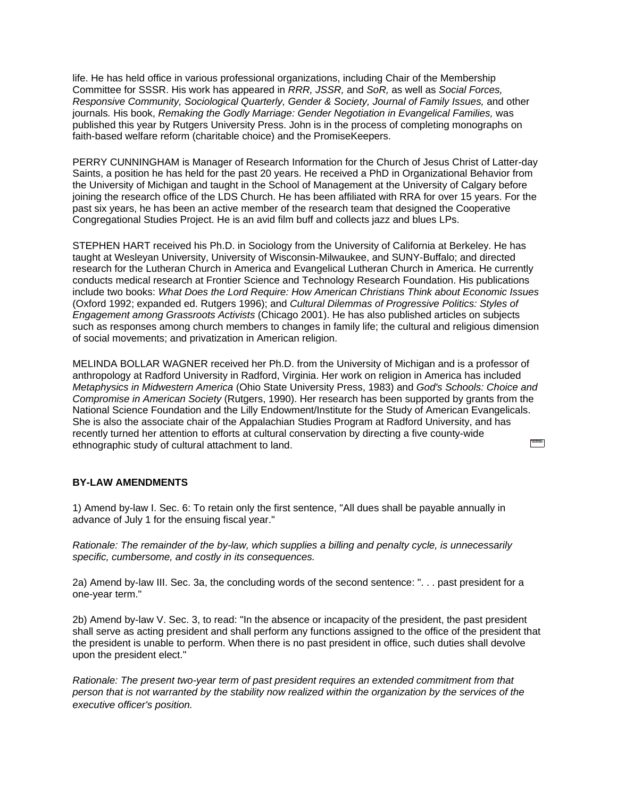life. He has held office in various professional organizations, including Chair of the Membership Committee for SSSR. His work has appeared in *RRR, JSSR,* and *SoR,* as well as *Social Forces, Responsive Community, Sociological Quarterly, Gender & Society, Journal of Family Issues,* and other journals*.* His book, *Remaking the Godly Marriage: Gender Negotiation in Evangelical Families,* was published this year by Rutgers University Press. John is in the process of completing monographs on faith-based welfare reform (charitable choice) and the PromiseKeepers.

PERRY CUNNINGHAM is Manager of Research Information for the Church of Jesus Christ of Latter-day Saints, a position he has held for the past 20 years. He received a PhD in Organizational Behavior from the University of Michigan and taught in the School of Management at the University of Calgary before joining the research office of the LDS Church. He has been affiliated with RRA for over 15 years. For the past six years, he has been an active member of the research team that designed the Cooperative Congregational Studies Project. He is an avid film buff and collects jazz and blues LPs.

STEPHEN HART received his Ph.D. in Sociology from the University of California at Berkeley. He has taught at Wesleyan University, University of Wisconsin-Milwaukee, and SUNY-Buffalo; and directed research for the Lutheran Church in America and Evangelical Lutheran Church in America. He currently conducts medical research at Frontier Science and Technology Research Foundation. His publications include two books: *What Does the Lord Require: How American Christians Think about Economic Issues* (Oxford 1992; expanded ed. Rutgers 1996); and *Cultural Dilemmas of Progressive Politics: Styles of Engagement among Grassroots Activists* (Chicago 2001). He has also published articles on subjects such as responses among church members to changes in family life; the cultural and religious dimension of social movements; and privatization in American religion.

MELINDA BOLLAR WAGNER received her Ph.D. from the University of Michigan and is a professor of anthropology at Radford University in Radford, Virginia. Her work on religion in America has included *Metaphysics in Midwestern America* (Ohio State University Press, 1983) and *God's Schools: Choice and Compromise in American Society* (Rutgers, 1990). Her research has been supported by grants from the National Science Foundation and the Lilly Endowment/Institute for the Study of American Evangelicals. She is also the associate chair of the Appalachian Studies Program at Radford University, and has recently turned her attention to efforts at cultural conservation by directing a five county-wide **The Contract of Section** ethnographic study of cultural attachment to land.

#### **BY-LAW AMENDMENTS**

1) Amend by-law I. Sec. 6: To retain only the first sentence, "All dues shall be payable annually in advance of July 1 for the ensuing fiscal year."

*Rationale: The remainder of the by-law, which supplies a billing and penalty cycle, is unnecessarily specific, cumbersome, and costly in its consequences.*

2a) Amend by-law III. Sec. 3a, the concluding words of the second sentence: ". . . past president for a one-year term."

2b) Amend by-law V. Sec. 3, to read: "In the absence or incapacity of the president, the past president shall serve as acting president and shall perform any functions assigned to the office of the president that the president is unable to perform. When there is no past president in office, such duties shall devolve upon the president elect."

*Rationale: The present two-year term of past president requires an extended commitment from that person that is not warranted by the stability now realized within the organization by the services of the executive officer's position.*